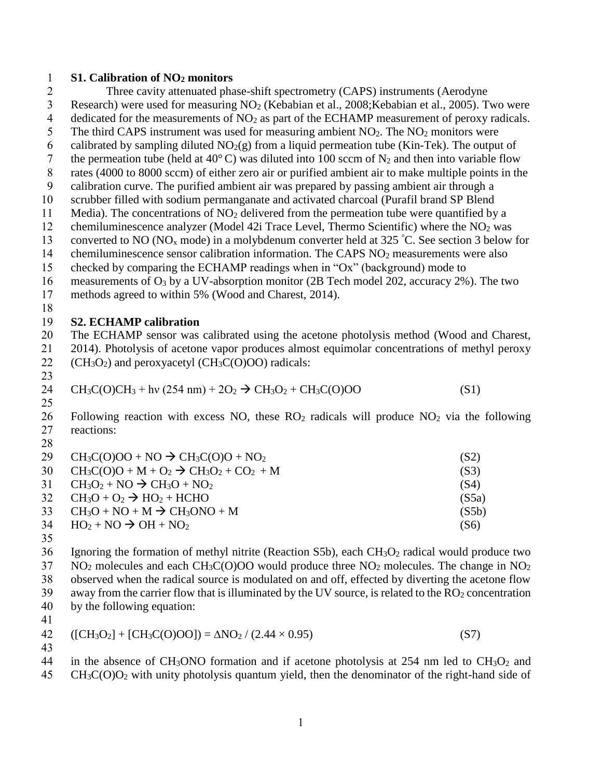### 1 **S1. Calibration of NO<sup>2</sup> monitors**

- 2 Three cavity attenuated phase-shift spectrometry (CAPS) instruments (Aerodyne 3 Research) were used for measuring NO<sup>2</sup> (Kebabian et al., 2008;Kebabian et al., 2005). Two were 4 dedicated for the measurements of  $NO<sub>2</sub>$  as part of the ECHAMP measurement of peroxy radicals. 5 The third CAPS instrument was used for measuring ambient  $NO<sub>2</sub>$ . The  $NO<sub>2</sub>$  monitors were 6 calibrated by sampling diluted  $NO<sub>2</sub>(g)$  from a liquid permeation tube (Kin-Tek). The output of 7 the permeation tube (held at 40 $^{\circ}$ C) was diluted into 100 sccm of N<sub>2</sub> and then into variable flow 8 rates (4000 to 8000 sccm) of either zero air or purified ambient air to make multiple points in the 9 calibration curve. The purified ambient air was prepared by passing ambient air through a 10 scrubber filled with sodium permanganate and activated charcoal (Purafil brand SP Blend 11 Media). The concentrations of  $NO<sub>2</sub>$  delivered from the permeation tube were quantified by a 12 chemiluminescence analyzer (Model 42i Trace Level, Thermo Scientific) where the  $NO<sub>2</sub>$  was 13 converted to NO (NO<sub>x</sub> mode) in a molybdenum converter held at 325 °C. See section 3 below for 14 chemiluminescence sensor calibration information. The CAPS NO<sub>2</sub> measurements were also 15 checked by comparing the ECHAMP readings when in "Ox" (background) mode to 16 measurements of  $O_3$  by a UV-absorption monitor (2B Tech model 202, accuracy 2%). The two 17 methods agreed to within 5% (Wood and Charest, 2014). 18 19 **S2. ECHAMP calibration** 20 The ECHAMP sensor was calibrated using the acetone photolysis method (Wood and Charest, 21 2014). Photolysis of acetone vapor produces almost equimolar concentrations of methyl peroxy 22 ( $CH<sub>3</sub>O<sub>2</sub>$ ) and peroxyacetyl ( $CH<sub>3</sub>C(O)OO$ ) radicals: 23 24  $CH_3C(O)CH_3 + hv (254 nm) + 2O_2 \rightarrow CH_3O_2 + CH_3C(O)OO$  (S1) 25 26 Following reaction with excess NO, these  $RO_2$  radicals will produce  $NO_2$  via the following 27 reactions: 28 29  $CH_3C(O)OO + NO \rightarrow CH_3C(O)O + NO_2$  (S2) 30  $CH_3C(O)O + M + O_2 \rightarrow CH_3O_2 + CO_2 + M$  (S3) 31  $CH_3O_2 + NO \rightarrow CH_3O + NO_2$  (S4)  $32 \text{ CH}_3\text{O} + \text{O}_2 \rightarrow \text{HO}_2 + \text{HCHO}$  (S5a)  $33 \text{ CH}_3\text{O} + \text{NO} + \text{M} \rightarrow \text{CH}_3\text{ONO} + \text{M}$  (S5b)  $34 \text{ HO}_2 + \text{NO} \rightarrow \text{OH} + \text{NO}_2$  (S6) 35 36 Ignoring the formation of methyl nitrite (Reaction S5b), each  $CH_3O_2$  radical would produce two  $37$  NO<sub>2</sub> molecules and each CH<sub>3</sub>C(O)OO would produce three NO<sub>2</sub> molecules. The change in NO<sub>2</sub>
- 38 observed when the radical source is modulated on and off, effected by diverting the acetone flow  $39$  away from the carrier flow that is illuminated by the UV source, is related to the  $RO<sub>2</sub>$  concentration
- 40 by the following equation:
- 41

$$
42 \quad ([CH_3O_2] + [CH_3C(O)OO]) = \Delta NO_2 / (2.44 \times 0.95)
$$
 (S7)

43

44 in the absence of CH<sub>3</sub>ONO formation and if acetone photolysis at 254 nm led to CH<sub>3</sub>O<sub>2</sub> and  $45$  CH<sub>3</sub>C(O)O<sub>2</sub> with unity photolysis quantum yield, then the denominator of the right-hand side of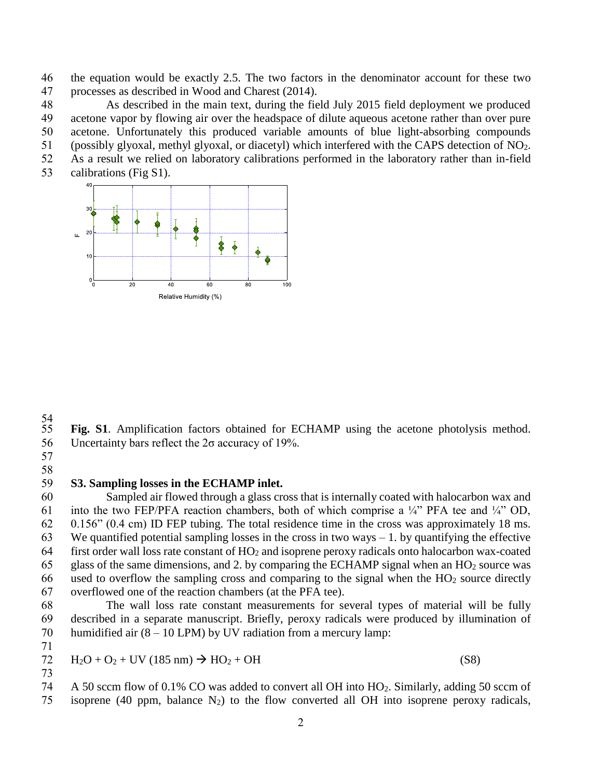the equation would be exactly 2.5. The two factors in the denominator account for these two processes as described in Wood and Charest (2014).

 As described in the main text, during the field July 2015 field deployment we produced acetone vapor by flowing air over the headspace of dilute aqueous acetone rather than over pure acetone. Unfortunately this produced variable amounts of blue light-absorbing compounds

(possibly glyoxal, methyl glyoxal, or diacetyl) which interfered with the CAPS detection of NO2.

As a result we relied on laboratory calibrations performed in the laboratory rather than in-field

calibrations (Fig S1).



54<br>55

Fig. S1. Amplification factors obtained for ECHAMP using the acetone photolysis method. Uncertainty bars reflect the 2σ accuracy of 19%.

 

### **S3. Sampling losses in the ECHAMP inlet.**

 Sampled air flowed through a glass cross that is internally coated with halocarbon wax and 61 into the two FEP/PFA reaction chambers, both of which comprise a  $\frac{1}{4}$ " PFA tee and  $\frac{1}{4}$ " OD, 0.156" (0.4 cm) ID FEP tubing. The total residence time in the cross was approximately 18 ms. 63 We quantified potential sampling losses in the cross in two ways  $-1$ . by quantifying the effective first order wall loss rate constant of HO<sup>2</sup> and isoprene peroxy radicals onto halocarbon wax-coated 65 glass of the same dimensions, and 2. by comparing the ECHAMP signal when an  $HO<sub>2</sub>$  source was 66 used to overflow the sampling cross and comparing to the signal when the  $HO<sub>2</sub>$  source directly overflowed one of the reaction chambers (at the PFA tee).

 The wall loss rate constant measurements for several types of material will be fully described in a separate manuscript. Briefly, peroxy radicals were produced by illumination of 70 humidified air  $(8 - 10 \text{ LPM})$  by UV radiation from a mercury lamp:

$$
72 \quad H_2O + O_2 + UV (185 \text{ nm}) \rightarrow HO_2 + OH \tag{S8}
$$

 A 50 sccm flow of 0.1% CO was added to convert all OH into HO2. Similarly, adding 50 sccm of 75 isoprene (40 ppm, balance  $N_2$ ) to the flow converted all OH into isoprene peroxy radicals,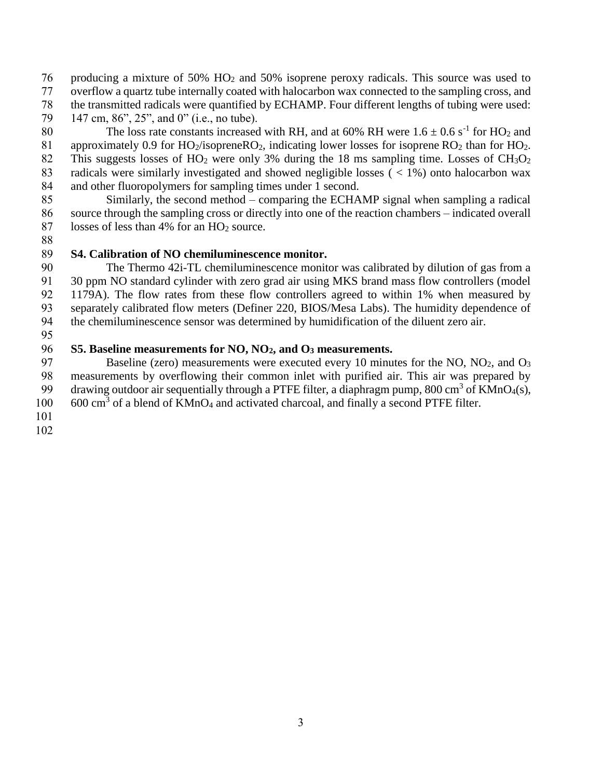producing a mixture of 50% HO<sup>2</sup> and 50% isoprene peroxy radicals. This source was used to

overflow a quartz tube internally coated with halocarbon wax connected to the sampling cross, and

- the transmitted radicals were quantified by ECHAMP. Four different lengths of tubing were used:
- 79 147 cm, 86", 25", and 0" (i.e., no tube).

80 The loss rate constants increased with RH, and at 60% RH were  $1.6 \pm 0.6 \text{ s}^{-1}$  for HO<sub>2</sub> and 81 approximately 0.9 for  $HO_2$ /isoprene $RO_2$ , indicating lower losses for isoprene  $RO_2$  than for  $HO_2$ . 82 This suggests losses of HO<sub>2</sub> were only 3% during the 18 ms sampling time. Losses of CH<sub>3</sub>O<sub>2</sub> radicals were similarly investigated and showed negligible losses ( < 1%) onto halocarbon wax and other fluoropolymers for sampling times under 1 second.

 Similarly, the second method – comparing the ECHAMP signal when sampling a radical source through the sampling cross or directly into one of the reaction chambers – indicated overall 87 losses of less than 4% for an HO<sub>2</sub> source.

# **S4. Calibration of NO chemiluminescence monitor.**

 The Thermo 42i-TL chemiluminescence monitor was calibrated by dilution of gas from a 30 ppm NO standard cylinder with zero grad air using MKS brand mass flow controllers (model 1179A). The flow rates from these flow controllers agreed to within 1% when measured by separately calibrated flow meters (Definer 220, BIOS/Mesa Labs). The humidity dependence of the chemiluminescence sensor was determined by humidification of the diluent zero air.

# **S5. Baseline measurements for NO, NO2, and O<sup>3</sup> measurements.**

97 Baseline (zero) measurements were executed every 10 minutes for the NO,  $NO<sub>2</sub>$ , and  $O<sub>3</sub>$  measurements by overflowing their common inlet with purified air. This air was prepared by 99 drawing outdoor air sequentially through a PTFE filter, a diaphragm pump, 800 cm<sup>3</sup> of KMnO<sub>4</sub>(s), 100 600 cm<sup>3</sup> of a blend of KMnO<sub>4</sub> and activated charcoal, and finally a second PTFE filter.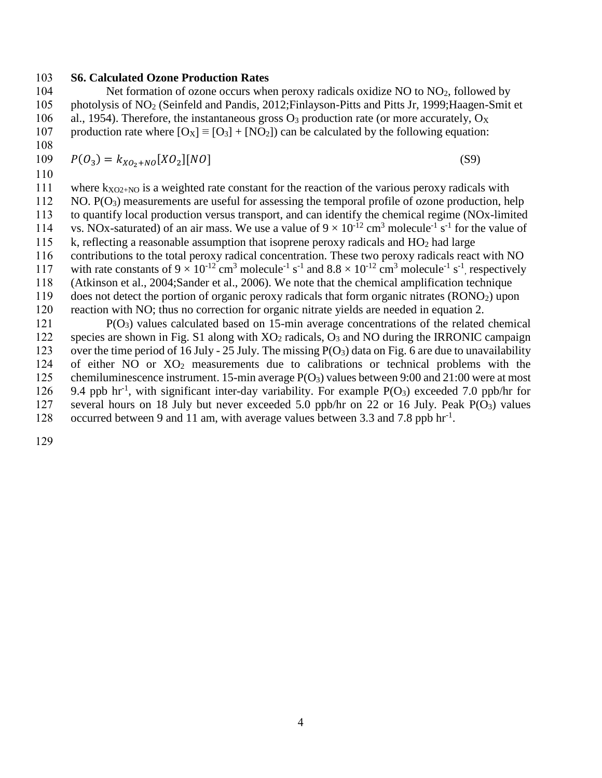#### 103 **S6. Calculated Ozone Production Rates**

104 Net formation of ozone occurs when peroxy radicals oxidize NO to  $NO<sub>2</sub>$ , followed by 105 photolysis of NO<sup>2</sup> (Seinfeld and Pandis, 2012;Finlayson-Pitts and Pitts Jr, 1999;Haagen-Smit et 106 al., 1954). Therefore, the instantaneous gross  $O_3$  production rate (or more accurately,  $O_X$ 107 production rate where  $[O_x] = [O_3] + [NO_2]$  can be calculated by the following equation:

108

109  $P(O_3) = k_{XO_2 + NO}[XO_2][NO]$  (S9)

110

111 where  $k_{XO2+NO}$  is a weighted rate constant for the reaction of the various peroxy radicals with

112 NO.  $P(O_3)$  measurements are useful for assessing the temporal profile of ozone production, help 113 to quantify local production versus transport, and can identify the chemical regime (NOx-limited

114 vs. NOx-saturated) of an air mass. We use a value of  $9 \times 10^{-12}$  cm<sup>3</sup> molecule<sup>-1</sup> s<sup>-1</sup> for the value of

115 k, reflecting a reasonable assumption that isoprene peroxy radicals and  $HO<sub>2</sub>$  had large

116 contributions to the total peroxy radical concentration. These two peroxy radicals react with NO

117 with rate constants of  $9 \times 10^{-12}$  cm<sup>3</sup> molecule<sup>-1</sup> s<sup>-1</sup> and  $8.8 \times 10^{-12}$  cm<sup>3</sup> molecule<sup>-1</sup> s<sup>-1</sup>, respectively

118 (Atkinson et al., 2004;Sander et al., 2006). We note that the chemical amplification technique

119 does not detect the portion of organic peroxy radicals that form organic nitrates (RONO2) upon 120 reaction with NO; thus no correction for organic nitrate yields are needed in equation 2.

 $P(O_3)$  values calculated based on 15-min average concentrations of the related chemical 122 species are shown in Fig. S1 along with  $XO_2$  radicals,  $O_3$  and NO during the IRRONIC campaign 123 over the time period of 16 July - 25 July. The missing  $P(O_3)$  data on Fig. 6 are due to unavailability 124 of either NO or XO<sup>2</sup> measurements due to calibrations or technical problems with the 125 chemiluminescence instrument. 15-min average P(O3) values between 9:00 and 21:00 were at most 126 9.4 ppb hr<sup>-1</sup>, with significant inter-day variability. For example P(O<sub>3</sub>) exceeded 7.0 ppb/hr for 127 several hours on 18 July but never exceeded 5.0 ppb/hr on 22 or 16 July. Peak  $P(O_3)$  values 128 occurred between 9 and 11 am, with average values between 3.3 and 7.8 ppb hr<sup>-1</sup>.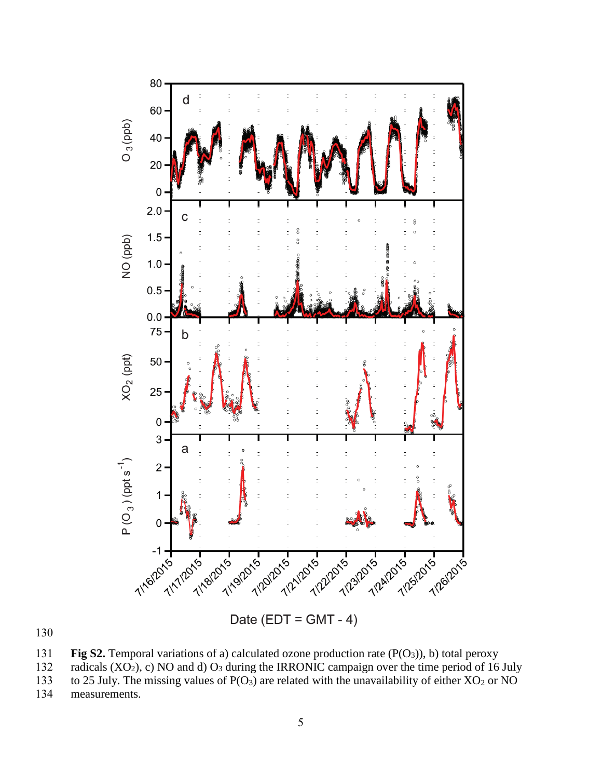

130

131 **Fig S2.** Temporal variations of a) calculated ozone production rate  $(P(O_3))$ , b) total peroxy radicals  $(XO_2)$ , c) NO and d)  $O_3$  during the IRRONIC campaign over the time period of 16

radicals  $(XO<sub>2</sub>)$ , c) NO and d)  $O<sub>3</sub>$  during the IRRONIC campaign over the time period of 16 July 133 to 25 July. The missing values of  $P(O_3)$  are related with the unavailability of either  $XO_2$  or NO neasurements.

measurements.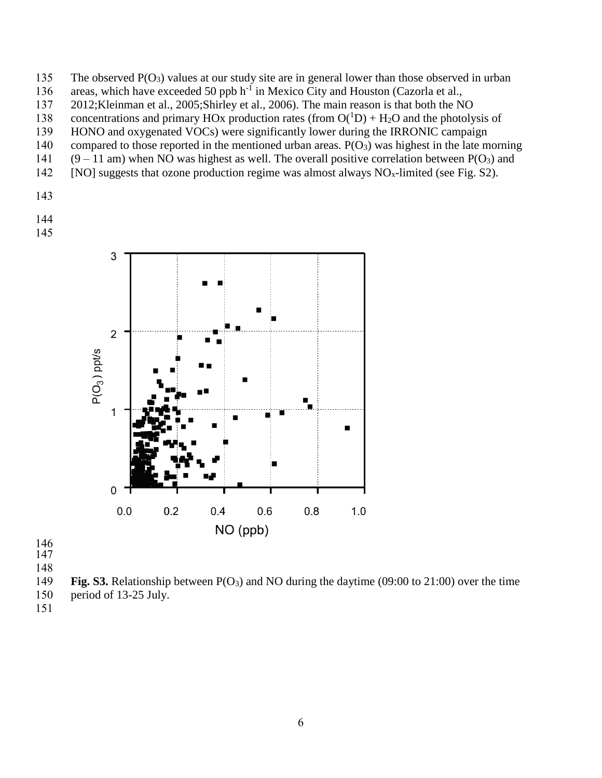- The observed P(O3) values at our study site are in general lower than those observed in urban
- 136 areas, which have exceeded 50 ppb h<sup>-1</sup> in Mexico City and Houston (Cazorla et al.,
- 2012;Kleinman et al., 2005;Shirley et al., 2006). The main reason is that both the NO
- 138 concentrations and primary HOx production rates (from  $O(^1D) + H_2O$  and the photolysis of
- HONO and oxygenated VOCs) were significantly lower during the IRRONIC campaign
- 140 compared to those reported in the mentioned urban areas.  $P(O_3)$  was highest in the late morning
- 141 (9 11 am) when NO was highest as well. The overall positive correlation between  $P(O_3)$  and
- 142 [NO] suggests that ozone production regime was almost always  $NO<sub>x</sub>$ -limited (see Fig. S2).
- 
- 
- 



- 
- 
- 
- **Fig. S3.** Relationship between P(O3) and NO during the daytime (09:00 to 21:00) over the time
- period of 13-25 July.
-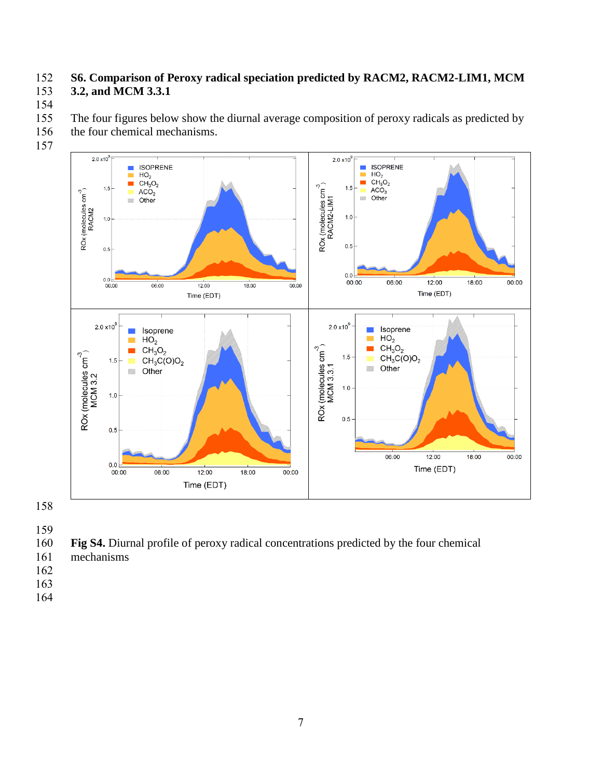## **S6. Comparison of Peroxy radical speciation predicted by RACM2, RACM2-LIM1, MCM 3.2, and MCM 3.3.1**

155 The four figures below show the diurnal average composition of peroxy radicals as predicted by the four chemical mechanisms.

- the four chemical mechanisms.
- 



**Fig S4.** Diurnal profile of peroxy radical concentrations predicted by the four chemical

- mechanisms
- 
- 
-